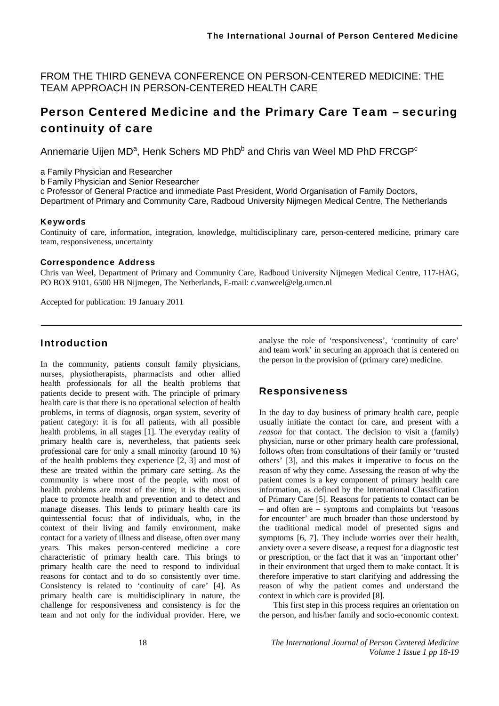FROM THE THIRD GENEVA CONFERENCE ON PERSON-CENTERED MEDICINE: THE TEAM APPROACH IN PERSON-CENTERED HEALTH CARE

# Person Centered Medicine and the Primary Care Team – securing continuity of care

Annemarie Uijen MD<sup>a</sup>, Henk Schers MD PhD<sup>b</sup> and Chris van Weel MD PhD FRCGP<sup>c</sup>

a Family Physician and Researcher

b Family Physician and Senior Researcher

c Professor of General Practice and immediate Past President, World Organisation of Family Doctors, Department of Primary and Community Care, Radboud University Nijmegen Medical Centre, The Netherlands

#### Keywords

Continuity of care, information, integration, knowledge, multidisciplinary care, person-centered medicine, primary care team, responsiveness, uncertainty

#### Correspondence Address

Chris van Weel, Department of Primary and Community Care, Radboud University Nijmegen Medical Centre, 117-HAG, PO BOX 9101, 6500 HB Nijmegen, The Netherlands, E-mail: c.vanweel@elg.umcn.nl

Accepted for publication: 19 January 2011

## Introduction

In the community, patients consult family physicians, nurses, physiotherapists, pharmacists and other allied health professionals for all the health problems that patients decide to present with. The principle of primary health care is that there is no operational selection of health problems, in terms of diagnosis, organ system, severity of patient category: it is for all patients, with all possible health problems, in all stages [1]. The everyday reality of primary health care is, nevertheless, that patients seek professional care for only a small minority (around 10 %) of the health problems they experience [2, 3] and most of these are treated within the primary care setting. As the community is where most of the people, with most of health problems are most of the time, it is the obvious place to promote health and prevention and to detect and manage diseases. This lends to primary health care its quintessential focus: that of individuals, who, in the context of their living and family environment, make contact for a variety of illness and disease, often over many years. This makes person-centered medicine a core characteristic of primary health care. This brings to primary health care the need to respond to individual reasons for contact and to do so consistently over time. Consistency is related to 'continuity of care' [4]. As primary health care is multidisciplinary in nature, the challenge for responsiveness and consistency is for the team and not only for the individual provider. Here, we analyse the role of 'responsiveness', 'continuity of care' and team work' in securing an approach that is centered on the person in the provision of (primary care) medicine.

## Responsiveness

In the day to day business of primary health care, people usually initiate the contact for care, and present with a *reason* for that contact. The decision to visit a (family) physician, nurse or other primary health care professional, follows often from consultations of their family or 'trusted others' [3], and this makes it imperative to focus on the reason of why they come. Assessing the reason of why the patient comes is a key component of primary health care information, as defined by the International Classification of Primary Care [5]. Reasons for patients to contact can be – and often are – symptoms and complaints but 'reasons for encounter' are much broader than those understood by the traditional medical model of presented signs and symptoms [6, 7]. They include worries over their health, anxiety over a severe disease, a request for a diagnostic test or prescription, or the fact that it was an 'important other' in their environment that urged them to make contact. It is therefore imperative to start clarifying and addressing the reason of why the patient comes and understand the context in which care is provided [8].

This first step in this process requires an orientation on the person, and his/her family and socio-economic context.

18 *The International Journal of Person Centered Medicine Volume 1 Issue 1 pp 18-19*